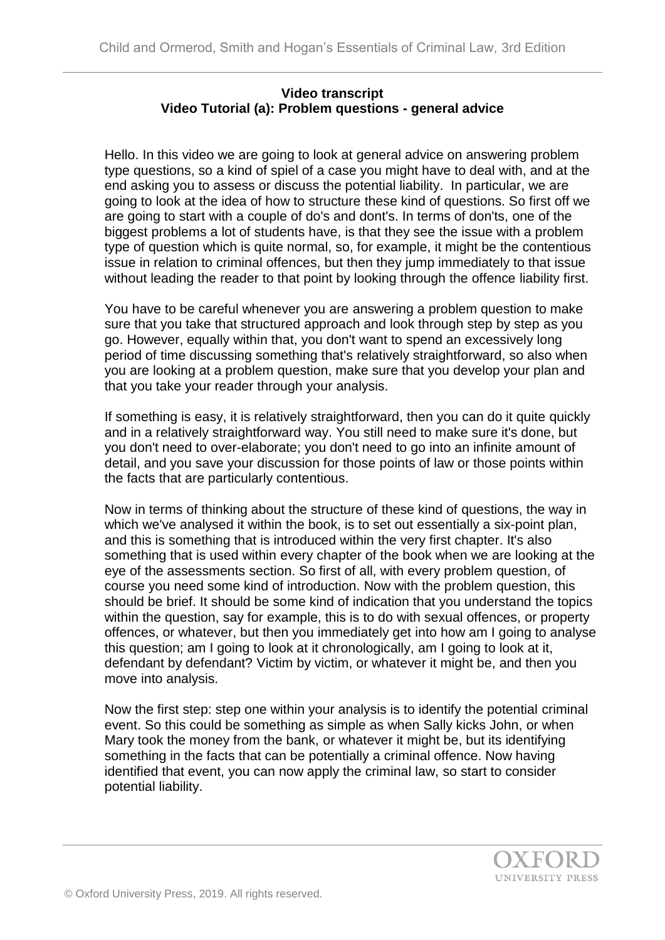## **Video transcript Video Tutorial (a): Problem questions - general advice**

Hello. In this video we are going to look at general advice on answering problem type questions, so a kind of spiel of a case you might have to deal with, and at the end asking you to assess or discuss the potential liability. In particular, we are going to look at the idea of how to structure these kind of questions. So first off we are going to start with a couple of do's and dont's. In terms of don'ts, one of the biggest problems a lot of students have, is that they see the issue with a problem type of question which is quite normal, so, for example, it might be the contentious issue in relation to criminal offences, but then they jump immediately to that issue without leading the reader to that point by looking through the offence liability first.

You have to be careful whenever you are answering a problem question to make sure that you take that structured approach and look through step by step as you go. However, equally within that, you don't want to spend an excessively long period of time discussing something that's relatively straightforward, so also when you are looking at a problem question, make sure that you develop your plan and that you take your reader through your analysis.

If something is easy, it is relatively straightforward, then you can do it quite quickly and in a relatively straightforward way. You still need to make sure it's done, but you don't need to over-elaborate; you don't need to go into an infinite amount of detail, and you save your discussion for those points of law or those points within the facts that are particularly contentious.

Now in terms of thinking about the structure of these kind of questions, the way in which we've analysed it within the book, is to set out essentially a six-point plan, and this is something that is introduced within the very first chapter. It's also something that is used within every chapter of the book when we are looking at the eye of the assessments section. So first of all, with every problem question, of course you need some kind of introduction. Now with the problem question, this should be brief. It should be some kind of indication that you understand the topics within the question, say for example, this is to do with sexual offences, or property offences, or whatever, but then you immediately get into how am I going to analyse this question; am I going to look at it chronologically, am I going to look at it, defendant by defendant? Victim by victim, or whatever it might be, and then you move into analysis.

Now the first step: step one within your analysis is to identify the potential criminal event. So this could be something as simple as when Sally kicks John, or when Mary took the money from the bank, or whatever it might be, but its identifying something in the facts that can be potentially a criminal offence. Now having identified that event, you can now apply the criminal law, so start to consider potential liability.